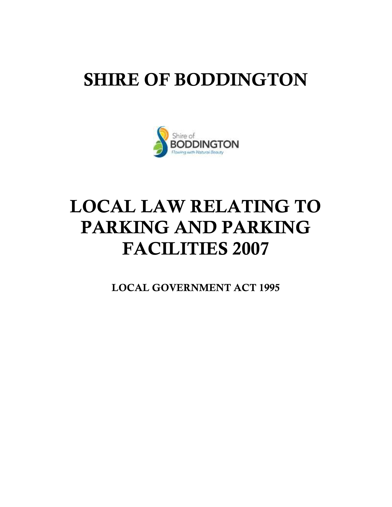## SHIRE OF BODDINGTON



# LOCAL LAW RELATING TO PARKING AND PARKING FACILITIES 2007

LOCAL GOVERNMENT ACT 1995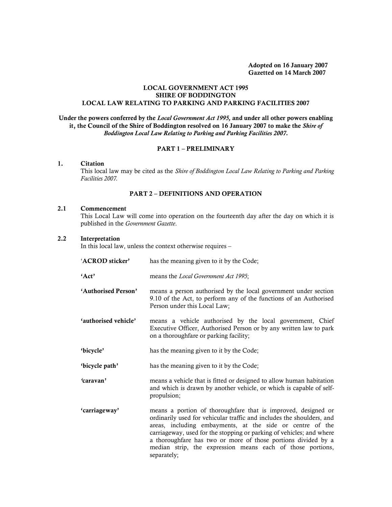Adopted on 16 January 2007 Gazetted on 14 March 2007

#### LOCAL GOVERNMENT ACT 1995 SHIRE OF BODDINGTON LOCAL LAW RELATING TO PARKING AND PARKING FACILITIES 2007

Under the powers conferred by the *Local Government Act 1995,* and under all other powers enabling it, the Council of the Shire of Boddington resolved on 16 January 2007 to make the *Shire of Boddington Local Law Relating to Parking and Parking Facilities 2007.*

#### PART 1 – PRELIMINARY

#### 1. Citation

This local law may be cited as the *Shire of Boddington Local Law Relating to Parking and Parking Facilities 2007.*

#### PART 2 – DEFINITIONS AND OPERATION

#### 2.1 Commencement

This Local Law will come into operation on the fourteenth day after the day on which it is published in the *Government Gazette*.

#### 2.2 Interpretation

In this local law, unless the context otherwise requires –

separately;

'ACROD sticker' has the meaning given to it by the Code; 'Act' means the *Local Government Act 1995*; 'Authorised Person' means a person authorised by the local government under section 9.10 of the Act, to perform any of the functions of an Authorised Person under this Local Law; 'authorised vehicle' means a vehicle authorised by the local government, Chief Executive Officer, Authorised Person or by any written law to park on a thoroughfare or parking facility; 'bicycle' has the meaning given to it by the Code; 'bicycle path' has the meaning given to it by the Code; *'*caravan' means a vehicle that is fitted or designed to allow human habitation and which is drawn by another vehicle, or which is capable of selfpropulsion; 'carriageway' means a portion of thoroughfare that is improved, designed or ordinarily used for vehicular traffic and includes the shoulders, and areas, including embayments, at the side or centre of the carriageway, used for the stopping or parking of vehicles; and where a thoroughfare has two or more of those portions divided by a median strip, the expression means each of those portions,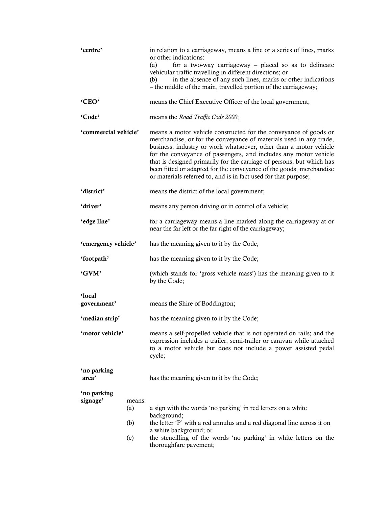| 'centre'                |                             | in relation to a carriageway, means a line or a series of lines, marks<br>or other indications:<br>for a two-way carriageway $-$ placed so as to delineate<br>(a)<br>vehicular traffic travelling in different directions; or<br>in the absence of any such lines, marks or other indications<br>(b)<br>- the middle of the main, travelled portion of the carriageway;                                                                                                                            |  |  |
|-------------------------|-----------------------------|----------------------------------------------------------------------------------------------------------------------------------------------------------------------------------------------------------------------------------------------------------------------------------------------------------------------------------------------------------------------------------------------------------------------------------------------------------------------------------------------------|--|--|
| 'CEO'                   |                             | means the Chief Executive Officer of the local government;                                                                                                                                                                                                                                                                                                                                                                                                                                         |  |  |
| 'Code'                  |                             | means the Road Traffic Code 2000;                                                                                                                                                                                                                                                                                                                                                                                                                                                                  |  |  |
| 'commercial vehicle'    |                             | means a motor vehicle constructed for the conveyance of goods or<br>merchandise, or for the conveyance of materials used in any trade,<br>business, industry or work whatsoever, other than a motor vehicle<br>for the conveyance of passengers, and includes any motor vehicle<br>that is designed primarily for the carriage of persons, but which has<br>been fitted or adapted for the conveyance of the goods, merchandise<br>or materials referred to, and is in fact used for that purpose; |  |  |
| 'district'              |                             | means the district of the local government;                                                                                                                                                                                                                                                                                                                                                                                                                                                        |  |  |
| 'driver'                |                             | means any person driving or in control of a vehicle;                                                                                                                                                                                                                                                                                                                                                                                                                                               |  |  |
| 'edge line'             |                             | for a carriageway means a line marked along the carriageway at or<br>near the far left or the far right of the carriageway;                                                                                                                                                                                                                                                                                                                                                                        |  |  |
| 'emergency vehicle'     |                             | has the meaning given to it by the Code;                                                                                                                                                                                                                                                                                                                                                                                                                                                           |  |  |
| 'footpath'              |                             | has the meaning given to it by the Code;                                                                                                                                                                                                                                                                                                                                                                                                                                                           |  |  |
| 'GVM'                   |                             | (which stands for 'gross vehicle mass') has the meaning given to it<br>by the Code;                                                                                                                                                                                                                                                                                                                                                                                                                |  |  |
| 'local<br>government'   |                             | means the Shire of Boddington;                                                                                                                                                                                                                                                                                                                                                                                                                                                                     |  |  |
| 'median strip'          |                             | has the meaning given to it by the Code;                                                                                                                                                                                                                                                                                                                                                                                                                                                           |  |  |
| 'motor vehicle'         |                             | means a self-propelled vehicle that is not operated on rails; and the<br>expression includes a trailer, semi-trailer or caravan while attached<br>to a motor vehicle but does not include a power assisted pedal<br>cycle;                                                                                                                                                                                                                                                                         |  |  |
| 'no parking<br>area'    |                             | has the meaning given to it by the Code;                                                                                                                                                                                                                                                                                                                                                                                                                                                           |  |  |
| 'no parking<br>signage' | means:<br>(a)<br>(b)<br>(c) | a sign with the words 'no parking' in red letters on a white<br>background;<br>the letter 'P' with a red annulus and a red diagonal line across it on<br>a white background; or<br>the stencilling of the words 'no parking' in white letters on the<br>thoroughfare pavement;                                                                                                                                                                                                                     |  |  |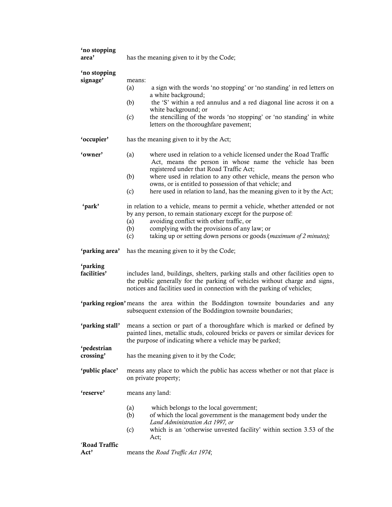| 'no stopping<br>area'    | has the meaning given to it by the Code;                                                                                                                                                                                                                                                                                                                                                                  |  |  |
|--------------------------|-----------------------------------------------------------------------------------------------------------------------------------------------------------------------------------------------------------------------------------------------------------------------------------------------------------------------------------------------------------------------------------------------------------|--|--|
| 'no stopping<br>signage' | means:<br>a sign with the words 'no stopping' or 'no standing' in red letters on<br>(a)<br>a white background;<br>(b)<br>the 'S' within a red annulus and a red diagonal line across it on a<br>white background; or<br>the stencilling of the words 'no stopping' or 'no standing' in white<br>(c)<br>letters on the thoroughfare pavement;                                                              |  |  |
| 'occupier'               | has the meaning given to it by the Act;                                                                                                                                                                                                                                                                                                                                                                   |  |  |
| 'owner'                  | (a)<br>where used in relation to a vehicle licensed under the Road Traffic<br>Act, means the person in whose name the vehicle has been<br>registered under that Road Traffic Act;<br>(b)<br>where used in relation to any other vehicle, means the person who<br>owns, or is entitled to possession of that vehicle; and<br>(c)<br>here used in relation to land, has the meaning given to it by the Act; |  |  |
| 'park'                   | in relation to a vehicle, means to permit a vehicle, whether attended or not<br>by any person, to remain stationary except for the purpose of:<br>avoiding conflict with other traffic, or<br>(a)<br>complying with the provisions of any law; or<br>(b)<br>taking up or setting down persons or goods (maximum of 2 minutes);<br>(c)                                                                     |  |  |
| 'parking area'           | has the meaning given to it by the Code;                                                                                                                                                                                                                                                                                                                                                                  |  |  |
| 'parking<br>facilities'  | includes land, buildings, shelters, parking stalls and other facilities open to<br>the public generally for the parking of vehicles without charge and signs,<br>notices and facilities used in connection with the parking of vehicles;                                                                                                                                                                  |  |  |
|                          | 'parking region' means the area within the Boddington townsite boundaries and any<br>subsequent extension of the Boddington townsite boundaries;                                                                                                                                                                                                                                                          |  |  |
| 'parking stall'          | means a section or part of a thoroughfare which is marked or defined by<br>painted lines, metallic studs, coloured bricks or pavers or similar devices for<br>the purpose of indicating where a vehicle may be parked;                                                                                                                                                                                    |  |  |
| 'pedestrian<br>crossing' | has the meaning given to it by the Code;                                                                                                                                                                                                                                                                                                                                                                  |  |  |
| 'public place'           | means any place to which the public has access whether or not that place is<br>on private property;                                                                                                                                                                                                                                                                                                       |  |  |
| 'reserve'                | means any land:                                                                                                                                                                                                                                                                                                                                                                                           |  |  |
|                          | (a)<br>which belongs to the local government;<br>of which the local government is the management body under the<br>(b)<br>Land Administration Act 1997, or<br>which is an 'otherwise unvested facility' within section 3.53 of the<br>(c)<br>Act;                                                                                                                                                         |  |  |
| 'Road Traffic<br>Act'    | means the Road Traffic Act 1974;                                                                                                                                                                                                                                                                                                                                                                          |  |  |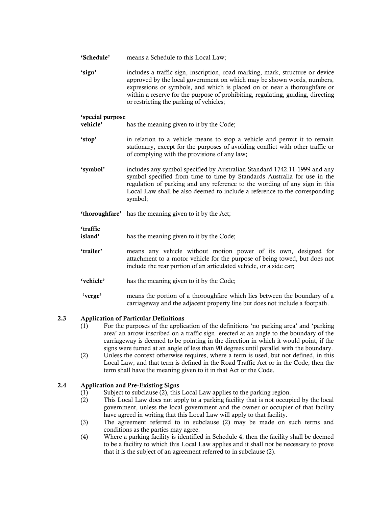| 'Schedule' | means a Schedule to this Local Law; |
|------------|-------------------------------------|
|------------|-------------------------------------|

'sign' includes a traffic sign, inscription, road marking, mark, structure or device approved by the local government on which may be shown words, numbers, expressions or symbols, and which is placed on or near a thoroughfare or within a reserve for the purpose of prohibiting, regulating, guiding, directing or restricting the parking of vehicles;

### 'special purpose

has the meaning given to it by the Code;

- 'stop' in relation to a vehicle means to stop a vehicle and permit it to remain stationary, except for the purposes of avoiding conflict with other traffic or of complying with the provisions of any law;
- 'symbol' includes any symbol specified by Australian Standard 1742.11-1999 and any symbol specified from time to time by Standards Australia for use in the regulation of parking and any reference to the wording of any sign in this Local Law shall be also deemed to include a reference to the corresponding symbol;
- 'thoroughfare' has the meaning given to it by the Act;

#### 'traffic

island' has the meaning given to it by the Code;

- 'trailer' means any vehicle without motion power of its own, designed for attachment to a motor vehicle for the purpose of being towed, but does not include the rear portion of an articulated vehicle, or a side car;
- 'vehicle' has the meaning given to it by the Code;
- 'verge' means the portion of a thoroughfare which lies between the boundary of a carriageway and the adjacent property line but does not include a footpath.

#### 2.3 Application of Particular Definitions

- (1) For the purposes of the application of the definitions 'no parking area' and 'parking area' an arrow inscribed on a traffic sign erected at an angle to the boundary of the carriageway is deemed to be pointing in the direction in which it would point, if the signs were turned at an angle of less than 90 degrees until parallel with the boundary.
- (2) Unless the context otherwise requires, where a term is used, but not defined, in this Local Law, and that term is defined in the Road Traffic Act or in the Code, then the term shall have the meaning given to it in that Act or the Code.

#### 2.4 Application and Pre-Existing Signs

- (1) Subject to subclause (2), this Local Law applies to the parking region.
- (2) This Local Law does not apply to a parking facility that is not occupied by the local government, unless the local government and the owner or occupier of that facility have agreed in writing that this Local Law will apply to that facility.
- (3) The agreement referred to in subclause (2) may be made on such terms and conditions as the parties may agree.
- (4) Where a parking facility is identified in Schedule 4, then the facility shall be deemed to be a facility to which this Local Law applies and it shall not be necessary to prove that it is the subject of an agreement referred to in subclause (2).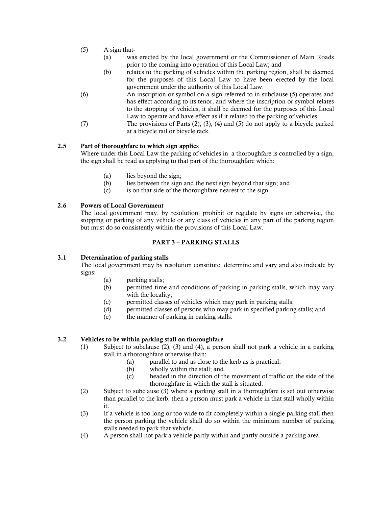- (5) A sign that-
	- (a) was erected by the local government or the Commissioner of Main Roads prior to the coming into operation of this Local Law; and
	- (b) relates to the parking of vehicles within the parking region, shall be deemed for the purposes of this Local Law to have been erected by the local government under the authority of this Local Law.
- (6) An inscription or symbol on a sign referred to in subclause (5) operates and has effect according to its tenor, and where the inscription or symbol relates to the stopping of vehicles, it shall be deemed for the purposes of this Local Law to operate and have effect as if it related to the parking of vehicles.
- (7) The provisions of Parts (2), (3), (4) and (5) do not apply to a bicycle parked at a bicycle rail or bicycle rack.

#### 2.5 Part of thoroughfare to which sign applies

Where under this Local Law the parking of vehicles in a thoroughfare is controlled by a sign, the sign shall be read as applying to that part of the thoroughfare which:

- (a) lies beyond the sign;
- (b) lies between the sign and the next sign beyond that sign; and
- (c) is on that side of the thoroughfare nearest to the sign.

#### 2.6 Powers of Local Government

The local government may, by resolution, prohibit or regulate by signs or otherwise, the stopping or parking of any vehicle or any class of vehicles in any part of the parking region but must do so consistently within the provisions of this Local Law.

#### PART 3 – PARKING STALLS

#### 3.1 Determination of parking stalls

The local government may by resolution constitute, determine and vary and also indicate by signs:

- (a) parking stalls;
- (b) permitted time and conditions of parking in parking stalls, which may vary with the locality;
- (c) permitted classes of vehicles which may park in parking stalls;
- (d) permitted classes of persons who may park in specified parking stalls; and
- (e) the manner of parking in parking stalls.

#### 3.2 Vehicles to be within parking stall on thoroughfare

- (1) Subject to subclause (2), (3) and (4), a person shall not park a vehicle in a parking stall in a thoroughfare otherwise than:
	- (a) parallel to and as close to the kerb as is practical;
	- (b) wholly within the stall; and
	- (c) headed in the direction of the movement of traffic on the side of the thoroughfare in which the stall is situated.
- (2) Subject to subclause (3) where a parking stall in a thoroughfare is set out otherwise than parallel to the kerb, then a person must park a vehicle in that stall wholly within it.
- (3) If a vehicle is too long or too wide to fit completely within a single parking stall then the person parking the vehicle shall do so within the minimum number of parking stalls needed to park that vehicle.
- (4) A person shall not park a vehicle partly within and partly outside a parking area.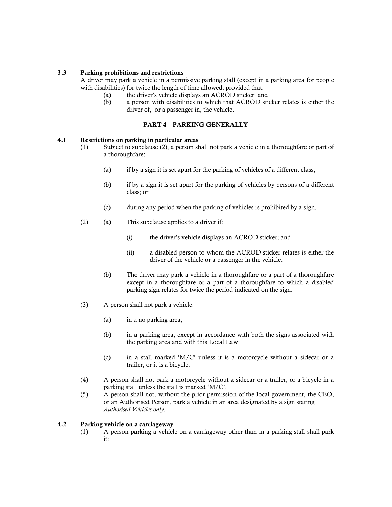#### 3.3 Parking prohibitions and restrictions

A driver may park a vehicle in a permissive parking stall (except in a parking area for people with disabilities) for twice the length of time allowed, provided that:

- (a) the driver's vehicle displays an ACROD sticker; and
- (b) a person with disabilities to which that ACROD sticker relates is either the driver of, or a passenger in, the vehicle.

#### PART 4 – PARKING GENERALLY

#### 4.1 Restrictions on parking in particular areas

- (1) Subject to subclause (2), a person shall not park a vehicle in a thoroughfare or part of a thoroughfare:
	- (a) if by a sign it is set apart for the parking of vehicles of a different class;
	- (b) if by a sign it is set apart for the parking of vehicles by persons of a different class; or
	- (c) during any period when the parking of vehicles is prohibited by a sign.
- (2) (a) This subclause applies to a driver if:
	- (i) the driver's vehicle displays an ACROD sticker; and
	- (ii) a disabled person to whom the ACROD sticker relates is either the driver of the vehicle or a passenger in the vehicle.
	- (b) The driver may park a vehicle in a thoroughfare or a part of a thoroughfare except in a thoroughfare or a part of a thoroughfare to which a disabled parking sign relates for twice the period indicated on the sign.
- (3) A person shall not park a vehicle:
	- (a) in a no parking area;
	- (b) in a parking area, except in accordance with both the signs associated with the parking area and with this Local Law;
	- (c) in a stall marked 'M/C' unless it is a motorcycle without a sidecar or a trailer, or it is a bicycle.
- (4) A person shall not park a motorcycle without a sidecar or a trailer, or a bicycle in a parking stall unless the stall is marked 'M/C'.
- (5) A person shall not, without the prior permission of the local government, the CEO, or an Authorised Person, park a vehicle in an area designated by a sign stating *Authorised Vehicles only.*

#### 4.2 Parking vehicle on a carriageway

(1) A person parking a vehicle on a carriageway other than in a parking stall shall park it: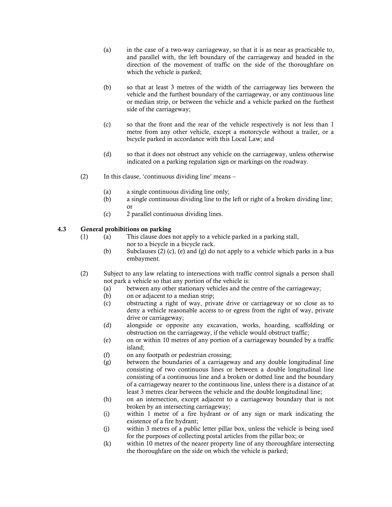- (a) in the case of a two-way carriageway, so that it is as near as practicable to, and parallel with, the left boundary of the carriageway and headed in the direction of the movement of traffic on the side of the thoroughfare on which the vehicle is parked;
- (b) so that at least 3 metres of the width of the carriageway lies between the vehicle and the furthest boundary of the carriageway, or any continuous line or median strip, or between the vehicle and a vehicle parked on the furthest side of the carriageway;
- (c) so that the front and the rear of the vehicle respectively is not less than 1 metre from any other vehicle, except a motorcycle without a trailer, or a bicycle parked in accordance with this Local Law; and
- (d) so that it does not obstruct any vehicle on the carriageway, unless otherwise indicated on a parking regulation sign or markings on the roadway.
- (2) In this clause, 'continuous dividing line' means
	- (a) a single continuous dividing line only;
	- (b) a single continuous dividing line to the left or right of a broken dividing line; or
	- (c) 2 parallel continuous dividing lines.

#### 4.3 General prohibitions on parking

- (1) (a) This clause does not apply to a vehicle parked in a parking stall, nor to a bicycle in a bicycle rack.
	- (b) Subclauses (2) (c), (e) and (g) do not apply to a vehicle which parks in a bus embayment.
- (2) Subject to any law relating to intersections with traffic control signals a person shall not park a vehicle so that any portion of the vehicle is:
	- (a) between any other stationary vehicles and the centre of the carriageway;
	- (b) on or adjacent to a median strip;
	- (c) obstructing a right of way, private drive or carriageway or so close as to deny a vehicle reasonable access to or egress from the right of way, private drive or carriageway;
	- (d) alongside or opposite any excavation, works, hoarding, scaffolding or obstruction on the carriageway, if the vehicle would obstruct traffic;
	- (e) on or within 10 metres of any portion of a carriageway bounded by a traffic island;
	- (f) on any footpath or pedestrian crossing;
	- (g) between the boundaries of a carriageway and any double longitudinal line consisting of two continuous lines or between a double longitudinal line consisting of a continuous line and a broken or dotted line and the boundary of a carriageway nearer to the continuous line, unless there is a distance of at least 3 metres clear between the vehicle and the double longitudinal line;
	- (h) on an intersection, except adjacent to a carriageway boundary that is not broken by an intersecting carriageway;
	- (i) within 1 metre of a fire hydrant or of any sign or mark indicating the existence of a fire hydrant;
	- (j) within 3 metres of a public letter pillar box, unless the vehicle is being used for the purposes of collecting postal articles from the pillar box; or
	- (k) within 10 metres of the nearer property line of any thoroughfare intersecting the thoroughfare on the side on which the vehicle is parked;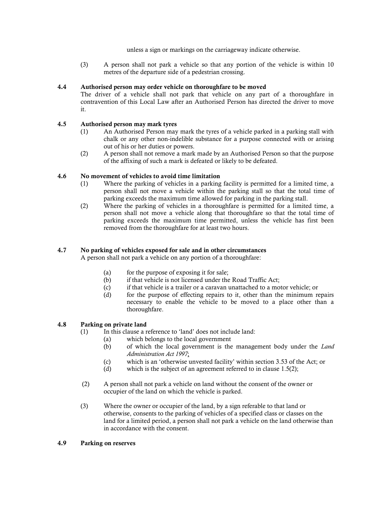unless a sign or markings on the carriageway indicate otherwise.

(3) A person shall not park a vehicle so that any portion of the vehicle is within 10 metres of the departure side of a pedestrian crossing.

#### 4.4 Authorised person may order vehicle on thoroughfare to be moved

The driver of a vehicle shall not park that vehicle on any part of a thoroughfare in contravention of this Local Law after an Authorised Person has directed the driver to move it.

#### 4.5 Authorised person may mark tyres

- (1) An Authorised Person may mark the tyres of a vehicle parked in a parking stall with chalk or any other non-indelible substance for a purpose connected with or arising out of his or her duties or powers.
- (2) A person shall not remove a mark made by an Authorised Person so that the purpose of the affixing of such a mark is defeated or likely to be defeated.

#### 4.6 No movement of vehicles to avoid time limitation

- (1) Where the parking of vehicles in a parking facility is permitted for a limited time, a person shall not move a vehicle within the parking stall so that the total time of parking exceeds the maximum time allowed for parking in the parking stall.
- (2) Where the parking of vehicles in a thoroughfare is permitted for a limited time, a person shall not move a vehicle along that thoroughfare so that the total time of parking exceeds the maximum time permitted, unless the vehicle has first been removed from the thoroughfare for at least two hours.

#### 4.7 No parking of vehicles exposed for sale and in other circumstances

A person shall not park a vehicle on any portion of a thoroughfare:

- (a) for the purpose of exposing it for sale;
- (b) if that vehicle is not licensed under the Road Traffic Act;
- (c) if that vehicle is a trailer or a caravan unattached to a motor vehicle; or
- (d) for the purpose of effecting repairs to it, other than the minimum repairs necessary to enable the vehicle to be moved to a place other than a thoroughfare.

#### 4.8 Parking on private land

- (1) In this clause a reference to 'land' does not include land:
	- (a) which belongs to the local government
	- (b) of which the local government is the management body under the *Land Administration Act 1997*;
	- (c) which is an 'otherwise unvested facility' within section 3.53 of the Act; or
	- (d) which is the subject of an agreement referred to in clause 1.5(2);
- (2) A person shall not park a vehicle on land without the consent of the owner or occupier of the land on which the vehicle is parked.
- (3) Where the owner or occupier of the land, by a sign referable to that land or otherwise, consents to the parking of vehicles of a specified class or classes on the land for a limited period, a person shall not park a vehicle on the land otherwise than in accordance with the consent.

#### 4.9 Parking on reserves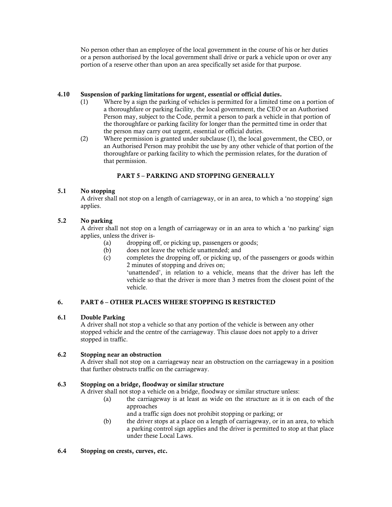No person other than an employee of the local government in the course of his or her duties or a person authorised by the local government shall drive or park a vehicle upon or over any portion of a reserve other than upon an area specifically set aside for that purpose.

#### 4.10 Suspension of parking limitations for urgent, essential or official duties.

- (1) Where by a sign the parking of vehicles is permitted for a limited time on a portion of a thoroughfare or parking facility, the local government, the CEO or an Authorised Person may, subject to the Code, permit a person to park a vehicle in that portion of the thoroughfare or parking facility for longer than the permitted time in order that the person may carry out urgent, essential or official duties.
- (2) Where permission is granted under subclause (1), the local government, the CEO, or an Authorised Person may prohibit the use by any other vehicle of that portion of the thoroughfare or parking facility to which the permission relates, for the duration of that permission.

### PART 5 – PARKING AND STOPPING GENERALLY

#### 5.1 No stopping

A driver shall not stop on a length of carriageway, or in an area, to which a 'no stopping' sign applies.

#### 5.2 No parking

A driver shall not stop on a length of carriageway or in an area to which a 'no parking' sign applies, unless the driver is-

- (a) dropping off, or picking up, passengers or goods;
- (b) does not leave the vehicle unattended; and
- (c) completes the dropping off, or picking up, of the passengers or goods within 2 minutes of stopping and drives on;

'unattended', in relation to a vehicle, means that the driver has left the vehicle so that the driver is more than 3 metres from the closest point of the vehicle.

#### 6. PART 6 – OTHER PLACES WHERE STOPPING IS RESTRICTED

#### 6.1 Double Parking

A driver shall not stop a vehicle so that any portion of the vehicle is between any other stopped vehicle and the centre of the carriageway. This clause does not apply to a driver stopped in traffic.

#### 6.2 Stopping near an obstruction

A driver shall not stop on a carriageway near an obstruction on the carriageway in a position that further obstructs traffic on the carriageway.

#### 6.3 Stopping on a bridge, floodway or similar structure

A driver shall not stop a vehicle on a bridge, floodway or similar structure unless:

- (a) the carriageway is at least as wide on the structure as it is on each of the approaches
	- and a traffic sign does not prohibit stopping or parking; or
- (b) the driver stops at a place on a length of carriageway, or in an area, to which a parking control sign applies and the driver is permitted to stop at that place under these Local Laws.

#### 6.4 Stopping on crests, curves, etc.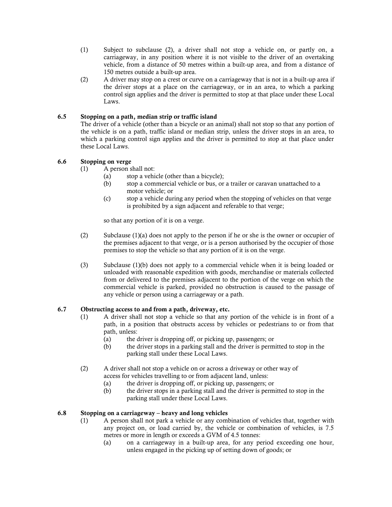- (1) Subject to subclause (2), a driver shall not stop a vehicle on, or partly on, a carriageway, in any position where it is not visible to the driver of an overtaking vehicle, from a distance of 50 metres within a built-up area, and from a distance of 150 metres outside a built-up area.
- (2) A driver may stop on a crest or curve on a carriageway that is not in a built-up area if the driver stops at a place on the carriageway, or in an area, to which a parking control sign applies and the driver is permitted to stop at that place under these Local Laws.

#### 6.5 Stopping on a path, median strip or traffic island

The driver of a vehicle (other than a bicycle or an animal) shall not stop so that any portion of the vehicle is on a path, traffic island or median strip, unless the driver stops in an area, to which a parking control sign applies and the driver is permitted to stop at that place under these Local Laws.

#### 6.6 Stopping on verge

- (1) A person shall not:
	- (a) stop a vehicle (other than a bicycle);
	- (b) stop a commercial vehicle or bus, or a trailer or caravan unattached to a motor vehicle; or
	- (c) stop a vehicle during any period when the stopping of vehicles on that verge is prohibited by a sign adjacent and referable to that verge;

so that any portion of it is on a verge.

- (2) Subclause (1)(a) does not apply to the person if he or she is the owner or occupier of the premises adjacent to that verge, or is a person authorised by the occupier of those premises to stop the vehicle so that any portion of it is on the verge.
- (3) Subclause (1)(b) does not apply to a commercial vehicle when it is being loaded or unloaded with reasonable expedition with goods, merchandise or materials collected from or delivered to the premises adjacent to the portion of the verge on which the commercial vehicle is parked, provided no obstruction is caused to the passage of any vehicle or person using a carriageway or a path.

#### 6.7 Obstructing access to and from a path, driveway, etc.

- (1) A driver shall not stop a vehicle so that any portion of the vehicle is in front of a path, in a position that obstructs access by vehicles or pedestrians to or from that path, unless:
	- (a) the driver is dropping off, or picking up, passengers; or
	- (b) the driver stops in a parking stall and the driver is permitted to stop in the parking stall under these Local Laws.
- (2) A driver shall not stop a vehicle on or across a driveway or other way of access for vehicles travelling to or from adjacent land, unless:
	- (a) the driver is dropping off, or picking up, passengers; or
	- (b) the driver stops in a parking stall and the driver is permitted to stop in the parking stall under these Local Laws.

#### 6.8 Stopping on a carriageway – heavy and long vehicles

- (1) A person shall not park a vehicle or any combination of vehicles that, together with any project on, or load carried by, the vehicle or combination of vehicles, is 7.5 metres or more in length or exceeds a GVM of 4.5 tonnes:
	- (a) on a carriageway in a built-up area, for any period exceeding one hour, unless engaged in the picking up of setting down of goods; or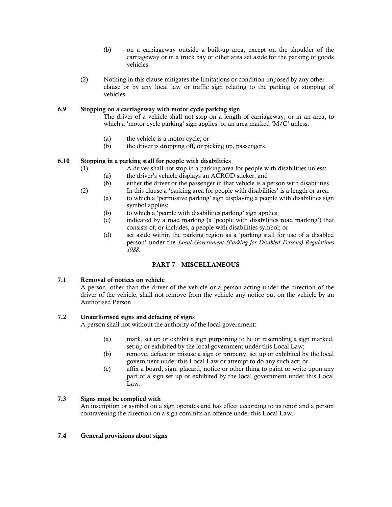- (b) on a carriageway outside a built-up area, except on the shoulder of the carriageway or in a truck bay or other area set aside for the parking of goods vehicles.
- (2) Nothing in this clause mitigates the limitations or condition imposed by any other clause or by any local law or traffic sign relating to the parking or stopping of vehicles.

#### 6.9 Stopping on a carriageway with motor cycle parking sign

The driver of a vehicle shall not stop on a length of carriageway, or in an area, to which a 'motor cycle parking' sign applies, or an area marked 'M/C' unless:

- (a) the vehicle is a motor cycle; or
- (b) the driver is dropping off, or picking up, passengers.

#### 6.10 Stopping in a parking stall for people with disabilities

- (1) A driver shall not stop in a parking area for people with disabilities unless:
	- (a) the driver's vehicle displays an ACROD sticker; and
		- (b) either the driver or the passenger in that vehicle is a person with disabilities.
- (2) In this clause a 'parking area for people with disabilities' is a length or area: (a) to which a 'permissive parking' sign displaying a people with disabilities sign symbol applies;
	- (b) to which a 'people with disabilities parking' sign applies;
	- (c) indicated by a road marking (a 'people with disabilities road marking') that consists of, or includes, a people with disabilities symbol; or
	- (d) set aside within the parking region as a 'parking stall for use of a disabled person' under the *Local Government (Parking for Disabled Persons) Regulations 1988.*

#### PART 7 – MISCELLANEOUS

#### 7.1 Removal of notices on vehicle

A person, other than the driver of the vehicle or a person acting under the direction of the driver of the vehicle, shall not remove from the vehicle any notice put on the vehicle by an Authorised Person.

#### 7.2 Unauthorised signs and defacing of signs

A person shall not without the authority of the local government:

- (a) mark, set up or exhibit a sign purporting to be or resembling a sign marked, set up or exhibited by the local government under this Local Law;
- (b) remove, deface or misuse a sign or property, set up or exhibited by the local government under this Local Law or attempt to do any such act; or
- (c) affix a board, sign, placard, notice or other thing to paint or write upon any part of a sign set up or exhibited by the local government under this Local Law.

#### 7.3 Signs must be complied with

An inscription or symbol on a sign operates and has effect according to its tenor and a person contravening the direction on a sign commits an offence under this Local Law.

#### 7.4 General provisions about signs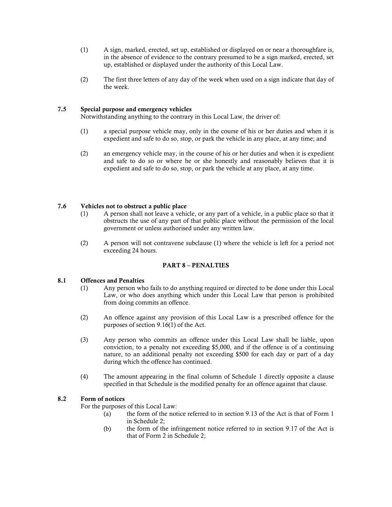- (1) A sign, marked, erected, set up, established or displayed on or near a thoroughfare is, in the absence of evidence to the contrary presumed to be a sign marked, erected, set up, established or displayed under the authority of this Local Law.
- (2) The first three letters of any day of the week when used on a sign indicate that day of the week.

#### 7.5 Special purpose and emergency vehicles

Notwithstanding anything to the contrary in this Local Law, the driver of:

- (1) a special purpose vehicle may, only in the course of his or her duties and when it is expedient and safe to do so, stop, or park the vehicle in any place, at any time; and
- (2) an emergency vehicle may, in the course of his or her duties and when it is expedient and safe to do so or where he or she honestly and reasonably believes that it is expedient and safe to do so, stop, or park the vehicle at any place, at any time.

#### 7.6 Vehicles not to obstruct a public place

- (1) A person shall not leave a vehicle, or any part of a vehicle, in a public place so that it obstructs the use of any part of that public place without the permission of the local government or unless authorised under any written law.
- (2) A person will not contravene subclause (1) where the vehicle is left for a period not exceeding 24 hours.

#### PART 8 – PENALTIES

#### 8.1 Offences and Penalties

- (1) Any person who fails to do anything required or directed to be done under this Local Law, or who does anything which under this Local Law that person is prohibited from doing commits an offence.
- (2) An offence against any provision of this Local Law is a prescribed offence for the purposes of section 9.16(1) of the Act.
- (3) Any person who commits an offence under this Local Law shall be liable, upon conviction, to a penalty not exceeding \$5,000, and if the offence is of a continuing nature, to an additional penalty not exceeding \$500 for each day or part of a day during which the offence has continued.
- (4) The amount appearing in the final column of Schedule 1 directly opposite a clause specified in that Schedule is the modified penalty for an offence against that clause.

#### 8.2 Form of notices

For the purposes of this Local Law:

- (a) the form of the notice referred to in section 9.13 of the Act is that of Form 1 in Schedule 2;
- (b) the form of the infringement notice referred to in section 9.17 of the Act is that of Form 2 in Schedule 2;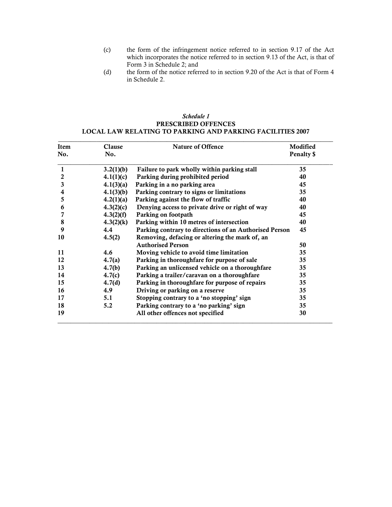- (c) the form of the infringement notice referred to in section 9.17 of the Act which incorporates the notice referred to in section 9.13 of the Act, is that of Form 3 in Schedule 2; and
- (d) the form of the notice referred to in section 9.20 of the Act is that of Form 4 in Schedule 2.

#### *Schedule 1* PRESCRIBED OFFENCES LOCAL LAW RELATING TO PARKING AND PARKING FACILITIES 2007

| <b>Item</b><br>No. | Clause<br>No. | <b>Nature of Offence</b>                               | Modified<br>Penalty \$ |
|--------------------|---------------|--------------------------------------------------------|------------------------|
|                    |               |                                                        |                        |
| $\mathbf{1}$       | 3.2(1)(b)     | Failure to park wholly within parking stall            | 35                     |
| $\overline{2}$     | 4.1(1)(c)     | Parking during prohibited period                       | 40                     |
| $\mathbf{3}$       | 4.1(3)(a)     | Parking in a no parking area                           | 45                     |
| 4                  | 4.1(3)(b)     | Parking contrary to signs or limitations               | 35                     |
| 5                  | 4.2(1)(a)     | Parking against the flow of traffic                    | 40                     |
| 6                  | 4.3(2)(c)     | Denying access to private drive or right of way        | 40                     |
| 7                  | 4.3(2)(f)     | Parking on footpath                                    | 45                     |
| 8                  | 4.3(2)(k)     | Parking within 10 metres of intersection               | 40                     |
| 9                  | 4.4           | Parking contrary to directions of an Authorised Person | 45                     |
| 10                 | 4.5(2)        | Removing, defacing or altering the mark of, an         |                        |
|                    |               | <b>Authorised Person</b>                               | 50                     |
| 11                 | 4.6           | Moving vehicle to avoid time limitation                | 35                     |
| 12                 | 4.7(a)        | Parking in thoroughfare for purpose of sale            | 35                     |
| 13                 | 4.7(b)        | Parking an unlicensed vehicle on a thoroughfare        | 35                     |
| 14                 | 4.7(c)        | Parking a trailer/caravan on a thoroughfare            | 35                     |
| 15                 | 4.7(d)        | Parking in thoroughfare for purpose of repairs         | 35                     |
| 16                 | 4.9           | Driving or parking on a reserve                        | 35                     |
| 17                 | 5.1           | Stopping contrary to a 'no stopping' sign              | 35                     |
| 18                 | 5.2           | Parking contrary to a 'no parking' sign                | 35                     |
| 19                 |               | All other offences not specified                       | 30                     |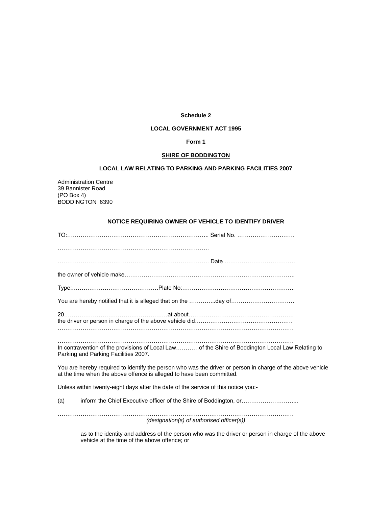#### **Schedule 2**

#### **LOCAL GOVERNMENT ACT 1995**

#### **Form 1**

#### **SHIRE OF BODDINGTON**

#### **LOCAL LAW RELATING TO PARKING AND PARKING FACILITIES 2007**

Administration Centre 39 Bannister Road (PO Box 4) BODDINGTON 6390

#### **NOTICE REQUIRING OWNER OF VEHICLE TO IDENTIFY DRIVER**

|                                      | You are hereby notified that it is alleged that on the day of                                                                                                                       |
|--------------------------------------|-------------------------------------------------------------------------------------------------------------------------------------------------------------------------------------|
|                                      |                                                                                                                                                                                     |
| Parking and Parking Facilities 2007. | In contravention of the provisions of Local Lawof the Shire of Boddington Local Law Relating to                                                                                     |
|                                      | You are hereby required to identify the person who was the driver or person in charge of the above vehicle<br>at the time when the above offence is alleged to have been committed. |
|                                      | Unless within twenty-eight days after the date of the service of this notice you:-                                                                                                  |
| (a)                                  | inform the Chief Executive officer of the Shire of Boddington, or                                                                                                                   |

…………………………………………………………………………………………………………… *(designation(s) of authorised officer(s))*

as to the identity and address of the person who was the driver or person in charge of the above vehicle at the time of the above offence; or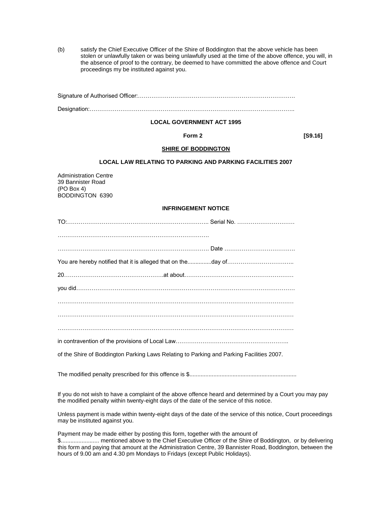(b) satisfy the Chief Executive Officer of the Shire of Boddington that the above vehicle has been stolen or unlawfully taken or was being unlawfully used at the time of the above offence, you will, in the absence of proof to the contrary, be deemed to have committed the above offence and Court proceedings my be instituted against you.

#### **LOCAL GOVERNMENT ACT 1995**

**Form 2** [S9.16]

#### **SHIRE OF BODDINGTON**

#### **LOCAL LAW RELATING TO PARKING AND PARKING FACILITIES 2007**

Administration Centre 39 Bannister Road (PO Box 4) BODDINGTON 6390

#### **INFRINGEMENT NOTICE**

| You are hereby notified that it is alleged that on theday of                             |  |
|------------------------------------------------------------------------------------------|--|
|                                                                                          |  |
|                                                                                          |  |
|                                                                                          |  |
|                                                                                          |  |
|                                                                                          |  |
|                                                                                          |  |
| of the Shire of Boddington Parking Laws Relating to Parking and Parking Facilities 2007. |  |
|                                                                                          |  |
|                                                                                          |  |

If you do not wish to have a complaint of the above offence heard and determined by a Court you may pay the modified penalty within twenty-eight days of the date of the service of this notice.

Unless payment is made within twenty-eight days of the date of the service of this notice, Court proceedings may be instituted against you.

Payment may be made either by posting this form, together with the amount of \$........................ mentioned above to the Chief Executive Officer of the Shire of Boddington, or by delivering this form and paying that amount at the Administration Centre, 39 Bannister Road, Boddington, between the hours of 9.00 am and 4.30 pm Mondays to Fridays (except Public Holidays).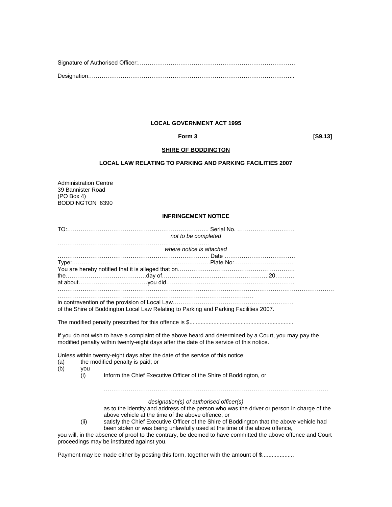#### **LOCAL GOVERNMENT ACT 1995**

 **Form 3 [S9.13]** 

#### **SHIRE OF BODDINGTON**

#### **LOCAL LAW RELATING TO PARKING AND PARKING FACILITIES 2007**

Administration Centre 39 Bannister Road (PO Box 4) BODDINGTON 6390

#### **INFRINGEMENT NOTICE**

|     | not to be completed                                                           |                                                                                                      |  |  |
|-----|-------------------------------------------------------------------------------|------------------------------------------------------------------------------------------------------|--|--|
|     |                                                                               | where notice is attached                                                                             |  |  |
|     |                                                                               |                                                                                                      |  |  |
|     |                                                                               |                                                                                                      |  |  |
|     |                                                                               |                                                                                                      |  |  |
|     |                                                                               |                                                                                                      |  |  |
|     |                                                                               |                                                                                                      |  |  |
|     |                                                                               |                                                                                                      |  |  |
|     |                                                                               |                                                                                                      |  |  |
|     |                                                                               | of the Shire of Boddington Local Law Relating to Parking and Parking Facilities 2007.                |  |  |
|     |                                                                               |                                                                                                      |  |  |
|     |                                                                               |                                                                                                      |  |  |
|     |                                                                               |                                                                                                      |  |  |
|     |                                                                               | If you do not wish to have a complaint of the above heard and determined by a Court, you may pay the |  |  |
|     |                                                                               | modified penalty within twenty-eight days after the date of the service of this notice.              |  |  |
|     |                                                                               |                                                                                                      |  |  |
|     | Unless within twenty-eight days after the date of the service of this notice: |                                                                                                      |  |  |
| (a) |                                                                               | the modified penalty is paid; or                                                                     |  |  |
| (b) | you<br>(i)                                                                    | Inform the Chief Executive Officer of the Shire of Boddington, or                                    |  |  |
|     |                                                                               |                                                                                                      |  |  |
|     |                                                                               |                                                                                                      |  |  |
|     |                                                                               |                                                                                                      |  |  |
|     |                                                                               | designation(s) of authorised officer(s)                                                              |  |  |
|     |                                                                               | as to the identity and address of the person who was the driver or person in charge of the           |  |  |

above vehicle at the time of the above offence, or

(ii) satisfy the Chief Executive Officer of the Shire of Boddington that the above vehicle had been stolen or was being unlawfully used at the time of the above offence,

you will, in the absence of proof to the contrary, be deemed to have committed the above offence and Court proceedings may be instituted against you.

Payment may be made either by posting this form, together with the amount of \$.....................